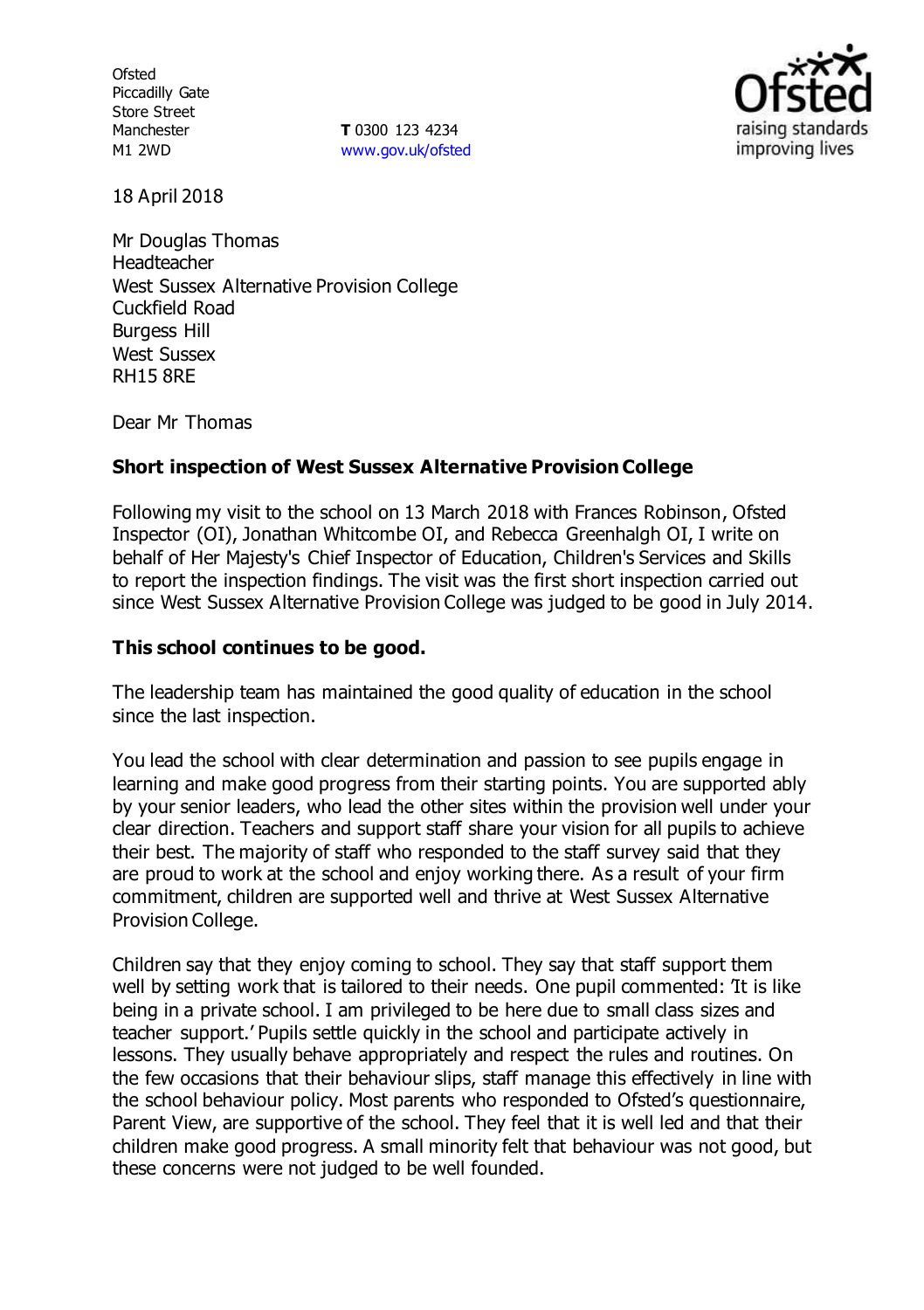**Ofsted** Piccadilly Gate Store Street Manchester M1 2WD

**T** 0300 123 4234 [www.gov.uk/ofsted](http://www.gov.uk/ofsted)



18 April 2018

Mr Douglas Thomas **Headteacher** West Sussex Alternative Provision College Cuckfield Road Burgess Hill West Sussex RH15 8RE

Dear Mr Thomas

# **Short inspection of West Sussex Alternative Provision College**

Following my visit to the school on 13 March 2018 with Frances Robinson, Ofsted Inspector (OI), Jonathan Whitcombe OI, and Rebecca Greenhalgh OI, I write on behalf of Her Majesty's Chief Inspector of Education, Children's Services and Skills to report the inspection findings. The visit was the first short inspection carried out since West Sussex Alternative Provision College was judged to be good in July 2014.

## **This school continues to be good.**

The leadership team has maintained the good quality of education in the school since the last inspection.

You lead the school with clear determination and passion to see pupils engage in learning and make good progress from their starting points. You are supported ably by your senior leaders, who lead the other sites within the provision well under your clear direction. Teachers and support staff share your vision for all pupils to achieve their best. The majority of staff who responded to the staff survey said that they are proud to work at the school and enjoy working there. As a result of your firm commitment, children are supported well and thrive at West Sussex Alternative Provision College.

Children say that they enjoy coming to school. They say that staff support them well by setting work that is tailored to their needs. One pupil commented: 'It is like being in a private school. I am privileged to be here due to small class sizes and teacher support.' Pupils settle quickly in the school and participate actively in lessons. They usually behave appropriately and respect the rules and routines. On the few occasions that their behaviour slips, staff manage this effectively in line with the school behaviour policy. Most parents who responded to Ofsted's questionnaire, Parent View, are supportive of the school. They feel that it is well led and that their children make good progress. A small minority felt that behaviour was not good, but these concerns were not judged to be well founded.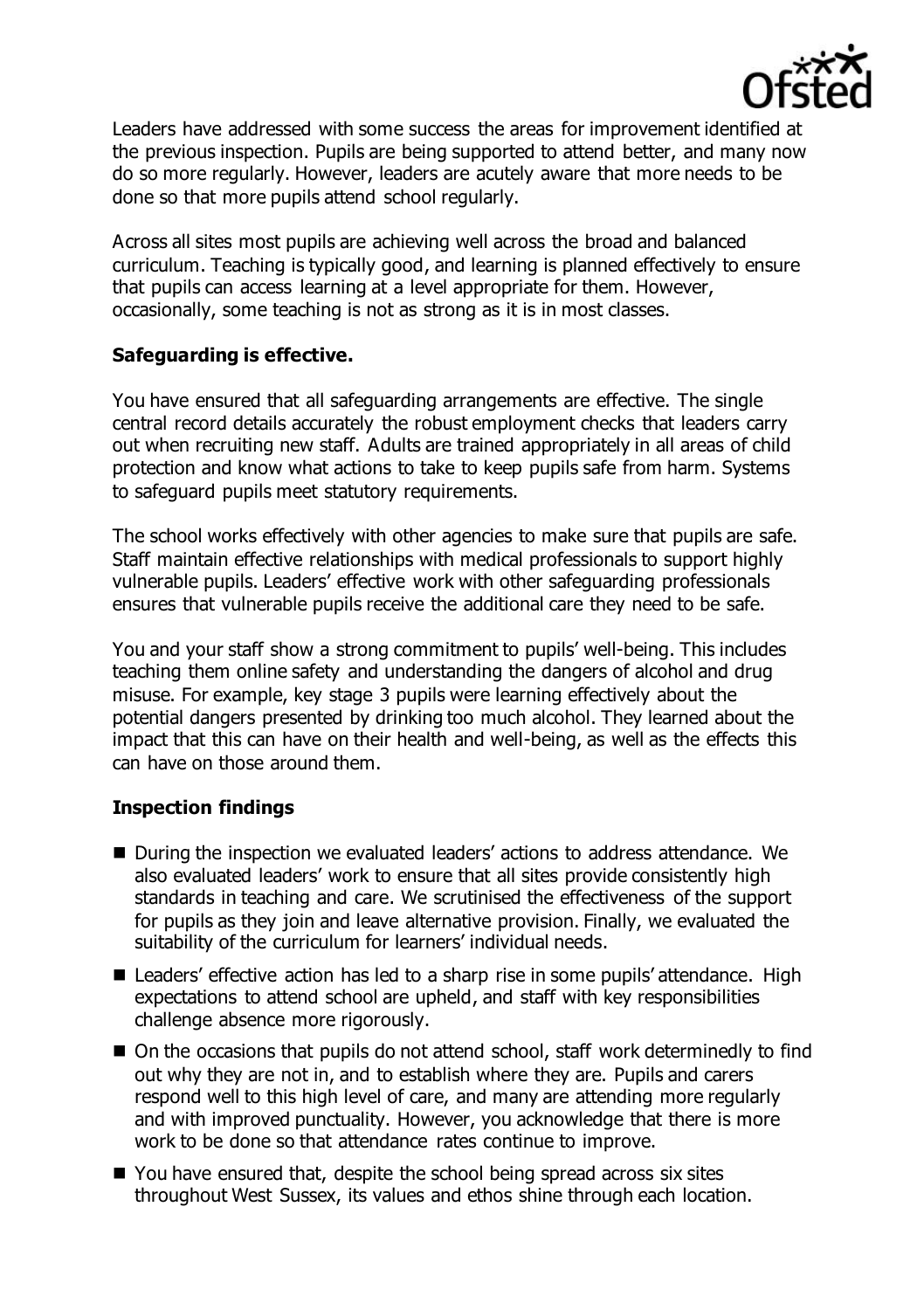

Leaders have addressed with some success the areas for improvement identified at the previous inspection. Pupils are being supported to attend better, and many now do so more regularly. However, leaders are acutely aware that more needs to be done so that more pupils attend school regularly.

Across all sites most pupils are achieving well across the broad and balanced curriculum. Teaching is typically good, and learning is planned effectively to ensure that pupils can access learning at a level appropriate for them. However, occasionally, some teaching is not as strong as it is in most classes.

# **Safeguarding is effective.**

You have ensured that all safeguarding arrangements are effective. The single central record details accurately the robust employment checks that leaders carry out when recruiting new staff. Adults are trained appropriately in all areas of child protection and know what actions to take to keep pupils safe from harm. Systems to safeguard pupils meet statutory requirements.

The school works effectively with other agencies to make sure that pupils are safe. Staff maintain effective relationships with medical professionals to support highly vulnerable pupils. Leaders' effective work with other safeguarding professionals ensures that vulnerable pupils receive the additional care they need to be safe.

You and your staff show a strong commitment to pupils' well-being. This includes teaching them online safety and understanding the dangers of alcohol and drug misuse. For example, key stage 3 pupils were learning effectively about the potential dangers presented by drinking too much alcohol. They learned about the impact that this can have on their health and well-being, as well as the effects this can have on those around them.

# **Inspection findings**

- During the inspection we evaluated leaders' actions to address attendance. We also evaluated leaders' work to ensure that all sites provide consistently high standards in teaching and care. We scrutinised the effectiveness of the support for pupils as they join and leave alternative provision. Finally, we evaluated the suitability of the curriculum for learners' individual needs.
- Leaders' effective action has led to a sharp rise in some pupils' attendance. High expectations to attend school are upheld, and staff with key responsibilities challenge absence more rigorously.
- On the occasions that pupils do not attend school, staff work determinedly to find out why they are not in, and to establish where they are. Pupils and carers respond well to this high level of care, and many are attending more regularly and with improved punctuality. However, you acknowledge that there is more work to be done so that attendance rates continue to improve.
- You have ensured that, despite the school being spread across six sites throughout West Sussex, its values and ethos shine through each location.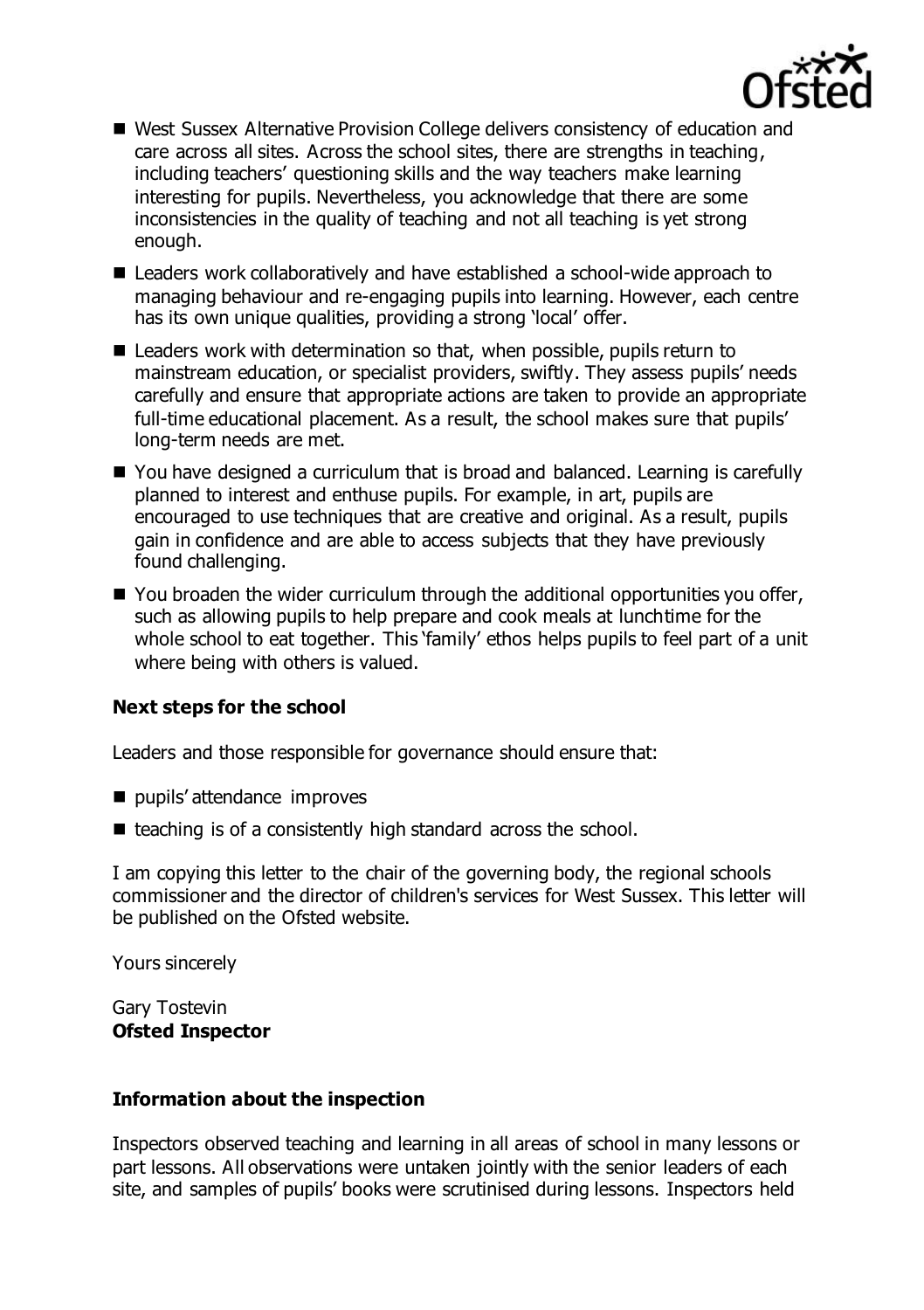

- West Sussex Alternative Provision College delivers consistency of education and care across all sites. Across the school sites, there are strengths in teaching, including teachers' questioning skills and the way teachers make learning interesting for pupils. Nevertheless, you acknowledge that there are some inconsistencies in the quality of teaching and not all teaching is yet strong enough.
- Leaders work collaboratively and have established a school-wide approach to managing behaviour and re-engaging pupils into learning. However, each centre has its own unique qualities, providing a strong 'local' offer.
- Leaders work with determination so that, when possible, pupils return to mainstream education, or specialist providers, swiftly. They assess pupils' needs carefully and ensure that appropriate actions are taken to provide an appropriate full-time educational placement. As a result, the school makes sure that pupils' long-term needs are met.
- You have designed a curriculum that is broad and balanced. Learning is carefully planned to interest and enthuse pupils. For example, in art, pupils are encouraged to use techniques that are creative and original. As a result, pupils gain in confidence and are able to access subjects that they have previously found challenging.
- $\blacksquare$  You broaden the wider curriculum through the additional opportunities you offer, such as allowing pupils to help prepare and cook meals at lunchtime for the whole school to eat together. This 'family' ethos helps pupils to feel part of a unit where being with others is valued.

# **Next steps for the school**

Leaders and those responsible for governance should ensure that:

- pupils' attendance improves
- $\blacksquare$  teaching is of a consistently high standard across the school.

I am copying this letter to the chair of the governing body, the regional schools commissioner and the director of children's services for West Sussex. This letter will be published on the Ofsted website.

Yours sincerely

Gary Tostevin **Ofsted Inspector**

# **Information about the inspection**

Inspectors observed teaching and learning in all areas of school in many lessons or part lessons. All observations were untaken jointly with the senior leaders of each site, and samples of pupils' books were scrutinised during lessons. Inspectors held